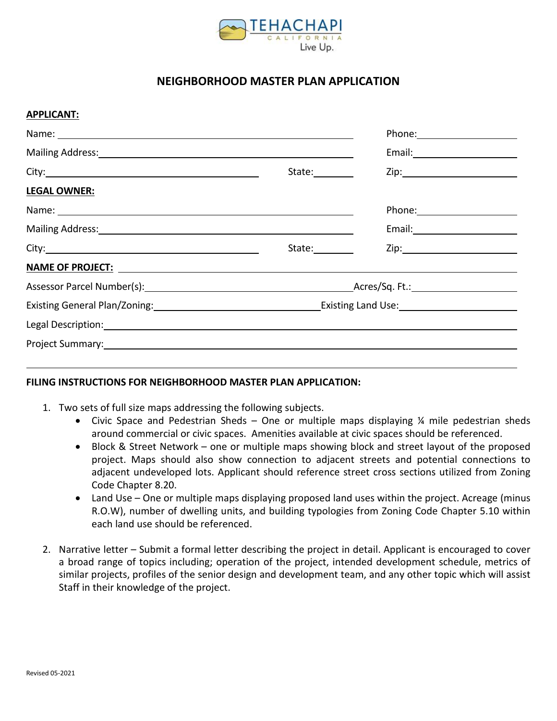

## **NEIGHBORHOOD MASTER PLAN APPLICATION**

## **APPLICANT:**

| Mailing Address: Mail and Mail and Mail and Mail and Mail and Mail and Mail and Mail and Mail and Mail and Mail                                                                                                                |                 |  |  |
|--------------------------------------------------------------------------------------------------------------------------------------------------------------------------------------------------------------------------------|-----------------|--|--|
|                                                                                                                                                                                                                                | State:_________ |  |  |
| <b>LEGAL OWNER:</b>                                                                                                                                                                                                            |                 |  |  |
|                                                                                                                                                                                                                                |                 |  |  |
| Mailing Address: National Address: National Address: National Address: National Address: National Address: National Address: National Address: National Address: National Address: National Address: National Address: Nationa |                 |  |  |
|                                                                                                                                                                                                                                | State: 1        |  |  |
|                                                                                                                                                                                                                                |                 |  |  |
|                                                                                                                                                                                                                                |                 |  |  |
| Existing General Plan/Zoning: 1990 1990 1991 1992 2010 1991 1992 2010 1994 2010 1994 2010 1994 2010 1994 2010                                                                                                                  |                 |  |  |
|                                                                                                                                                                                                                                |                 |  |  |
| Project Summary: North Communication of the Communication of the Communication of the Communication of the Communication of the Communication of the Communication of the Communication of the Communication of the Communicat |                 |  |  |
|                                                                                                                                                                                                                                |                 |  |  |

## **FILING INSTRUCTIONS FOR NEIGHBORHOOD MASTER PLAN APPLICATION:**

- 1. Two sets of full size maps addressing the following subjects.
	- Civic Space and Pedestrian Sheds One or multiple maps displaying  $\frac{1}{4}$  mile pedestrian sheds around commercial or civic spaces. Amenities available at civic spaces should be referenced.
	- Block & Street Network one or multiple maps showing block and street layout of the proposed project. Maps should also show connection to adjacent streets and potential connections to adjacent undeveloped lots. Applicant should reference street cross sections utilized from Zoning Code Chapter 8.20.
	- Land Use One or multiple maps displaying proposed land uses within the project. Acreage (minus R.O.W), number of dwelling units, and building typologies from Zoning Code Chapter 5.10 within each land use should be referenced.
- 2. Narrative letter Submit a formal letter describing the project in detail. Applicant is encouraged to cover a broad range of topics including; operation of the project, intended development schedule, metrics of similar projects, profiles of the senior design and development team, and any other topic which will assist Staff in their knowledge of the project.